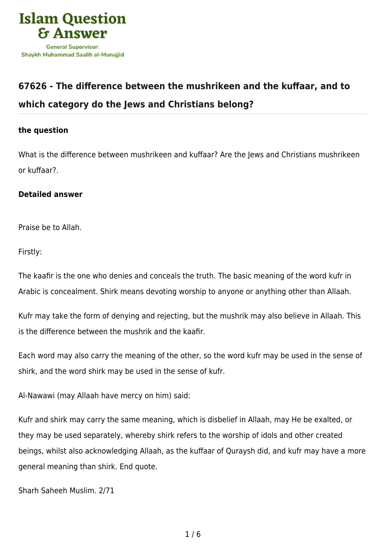

## **[67626 - The difference between the mushrikeen and the kuffaar, and to](https://islamqa.com/en/answers/67626/the-difference-between-the-mushrikeen-and-the-kuffaar-and-to-which-category-do-the-jews-and-christians-belong) [which category do the Jews and Christians belong?](https://islamqa.com/en/answers/67626/the-difference-between-the-mushrikeen-and-the-kuffaar-and-to-which-category-do-the-jews-and-christians-belong)**

## **the question**

What is the difference between mushrikeen and kuffaar? Are the Jews and Christians mushrikeen or kuffaar?.

## **Detailed answer**

Praise be to Allah.

Firstly:

The kaafir is the one who denies and conceals the truth. The basic meaning of the word kufr in Arabic is concealment. Shirk means devoting worship to anyone or anything other than Allaah.

Kufr may take the form of denying and rejecting, but the mushrik may also believe in Allaah. This is the difference between the mushrik and the kaafir.

Each word may also carry the meaning of the other, so the word kufr may be used in the sense of shirk, and the word shirk may be used in the sense of kufr.

Al-Nawawi (may Allaah have mercy on him) said:

Kufr and shirk may carry the same meaning, which is disbelief in Allaah, may He be exalted, or they may be used separately, whereby shirk refers to the worship of idols and other created beings, whilst also acknowledging Allaah, as the kuffaar of Quraysh did, and kufr may have a more general meaning than shirk. End quote.

Sharh Saheeh Muslim. 2/71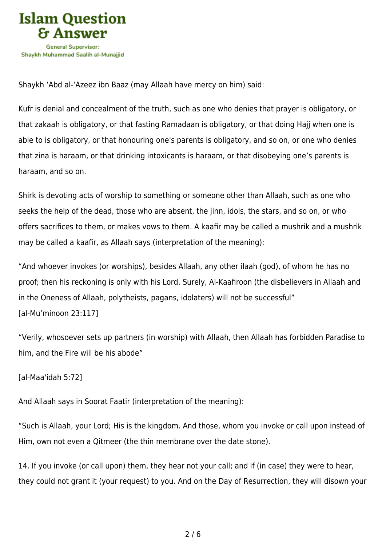

Shaykh 'Abd al-'Azeez ibn Baaz (may Allaah have mercy on him) said:

Kufr is denial and concealment of the truth, such as one who denies that prayer is obligatory, or that zakaah is obligatory, or that fasting Ramadaan is obligatory, or that doing Hajj when one is able to is obligatory, or that honouring one's parents is obligatory, and so on, or one who denies that zina is haraam, or that drinking intoxicants is haraam, or that disobeying one's parents is haraam, and so on.

Shirk is devoting acts of worship to something or someone other than Allaah, such as one who seeks the help of the dead, those who are absent, the jinn, idols, the stars, and so on, or who offers sacrifices to them, or makes vows to them. A kaafir may be called a mushrik and a mushrik may be called a kaafir, as Allaah says (interpretation of the meaning):

"And whoever invokes (or worships), besides Allaah, any other ilaah (god), of whom he has no proof; then his reckoning is only with his Lord. Surely, Al‑Kaafiroon (the disbelievers in Allaah and in the Oneness of Allaah, polytheists, pagans, idolaters) will not be successful" [al-Mu'minoon 23:117]

"Verily, whosoever sets up partners (in worship) with Allaah, then Allaah has forbidden Paradise to him, and the Fire will be his abode"

[al-Maa'idah 5:72]

And Allaah says in Soorat Faatir (interpretation of the meaning):

"Such is Allaah, your Lord; His is the kingdom. And those, whom you invoke or call upon instead of Him, own not even a Qitmeer (the thin membrane over the date stone).

14. If you invoke (or call upon) them, they hear not your call; and if (in case) they were to hear, they could not grant it (your request) to you. And on the Day of Resurrection, they will disown your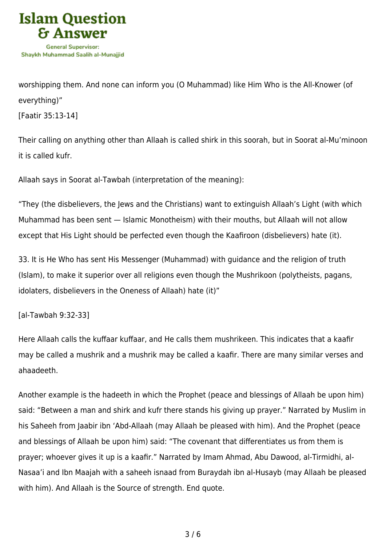

worshipping them. And none can inform you (O Muhammad) like Him Who is the All-Knower (of everything)"

[Faatir 35:13-14]

Their calling on anything other than Allaah is called shirk in this soorah, but in Soorat al-Mu'minoon it is called kufr.

Allaah says in Soorat al-Tawbah (interpretation of the meaning):

"They (the disbelievers, the Jews and the Christians) want to extinguish Allaah's Light (with which Muhammad has been sent — Islamic Monotheism) with their mouths, but Allaah will not allow except that His Light should be perfected even though the Kaafiroon (disbelievers) hate (it).

33. It is He Who has sent His Messenger (Muhammad) with guidance and the religion of truth (Islam), to make it superior over all religions even though the Mushrikoon (polytheists, pagans, idolaters, disbelievers in the Oneness of Allaah) hate (it)"

[al-Tawbah 9:32-33]

Here Allaah calls the kuffaar kuffaar, and He calls them mushrikeen. This indicates that a kaafir may be called a mushrik and a mushrik may be called a kaafir. There are many similar verses and ahaadeeth.

Another example is the hadeeth in which the Prophet (peace and blessings of Allaah be upon him) said: "Between a man and shirk and kufr there stands his giving up prayer." Narrated by Muslim in his Saheeh from Jaabir ibn 'Abd-Allaah (may Allaah be pleased with him). And the Prophet (peace and blessings of Allaah be upon him) said: "The covenant that differentiates us from them is prayer; whoever gives it up is a kaafir." Narrated by Imam Ahmad, Abu Dawood, al-Tirmidhi, al-Nasaa'i and Ibn Maajah with a saheeh isnaad from Buraydah ibn al-Husayb (may Allaah be pleased with him). And Allaah is the Source of strength. End quote.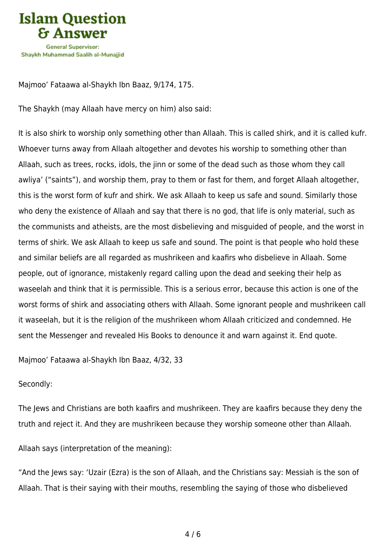

Majmoo' Fataawa al-Shaykh Ibn Baaz, 9/174, 175.

The Shaykh (may Allaah have mercy on him) also said:

It is also shirk to worship only something other than Allaah. This is called shirk, and it is called kufr. Whoever turns away from Allaah altogether and devotes his worship to something other than Allaah, such as trees, rocks, idols, the jinn or some of the dead such as those whom they call awliya' ("saints"), and worship them, pray to them or fast for them, and forget Allaah altogether, this is the worst form of kufr and shirk. We ask Allaah to keep us safe and sound. Similarly those who deny the existence of Allaah and say that there is no god, that life is only material, such as the communists and atheists, are the most disbelieving and misguided of people, and the worst in terms of shirk. We ask Allaah to keep us safe and sound. The point is that people who hold these and similar beliefs are all regarded as mushrikeen and kaafirs who disbelieve in Allaah. Some people, out of ignorance, mistakenly regard calling upon the dead and seeking their help as waseelah and think that it is permissible. This is a serious error, because this action is one of the worst forms of shirk and associating others with Allaah. Some ignorant people and mushrikeen call it waseelah, but it is the religion of the mushrikeen whom Allaah criticized and condemned. He sent the Messenger and revealed His Books to denounce it and warn against it. End quote.

Majmoo' Fataawa al-Shaykh Ibn Baaz, 4/32, 33

## Secondly:

The Jews and Christians are both kaafirs and mushrikeen. They are kaafirs because they deny the truth and reject it. And they are mushrikeen because they worship someone other than Allaah.

Allaah says (interpretation of the meaning):

"And the Jews say: 'Uzair (Ezra) is the son of Allaah, and the Christians say: Messiah is the son of Allaah. That is their saying with their mouths, resembling the saying of those who disbelieved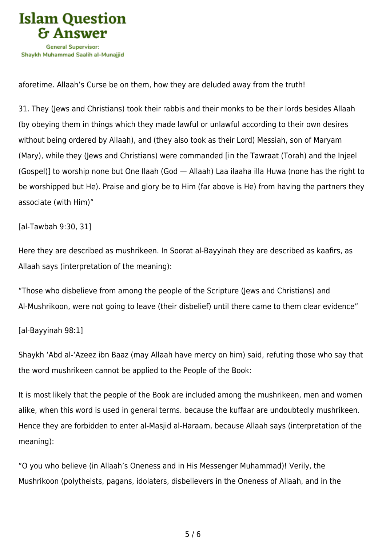

aforetime. Allaah's Curse be on them, how they are deluded away from the truth!

31. They (Jews and Christians) took their rabbis and their monks to be their lords besides Allaah (by obeying them in things which they made lawful or unlawful according to their own desires without being ordered by Allaah), and (they also took as their Lord) Messiah, son of Maryam (Mary), while they (Jews and Christians) were commanded [in the Tawraat (Torah) and the Injeel (Gospel)] to worship none but One Ilaah (God — Allaah) Laa ilaaha illa Huwa (none has the right to be worshipped but He). Praise and glory be to Him (far above is He) from having the partners they associate (with Him)"

[al-Tawbah 9:30, 31]

Here they are described as mushrikeen. In Soorat al-Bayyinah they are described as kaafirs, as Allaah says (interpretation of the meaning):

"Those who disbelieve from among the people of the Scripture (Jews and Christians) and Al‑Mushrikoon, were not going to leave (their disbelief) until there came to them clear evidence"

[al-Bayyinah 98:1]

Shaykh 'Abd al-'Azeez ibn Baaz (may Allaah have mercy on him) said, refuting those who say that the word mushrikeen cannot be applied to the People of the Book:

It is most likely that the people of the Book are included among the mushrikeen, men and women alike, when this word is used in general terms. because the kuffaar are undoubtedly mushrikeen. Hence they are forbidden to enter al-Masjid al-Haraam, because Allaah says (interpretation of the meaning):

"O you who believe (in Allaah's Oneness and in His Messenger Muhammad)! Verily, the Mushrikoon (polytheists, pagans, idolaters, disbelievers in the Oneness of Allaah, and in the